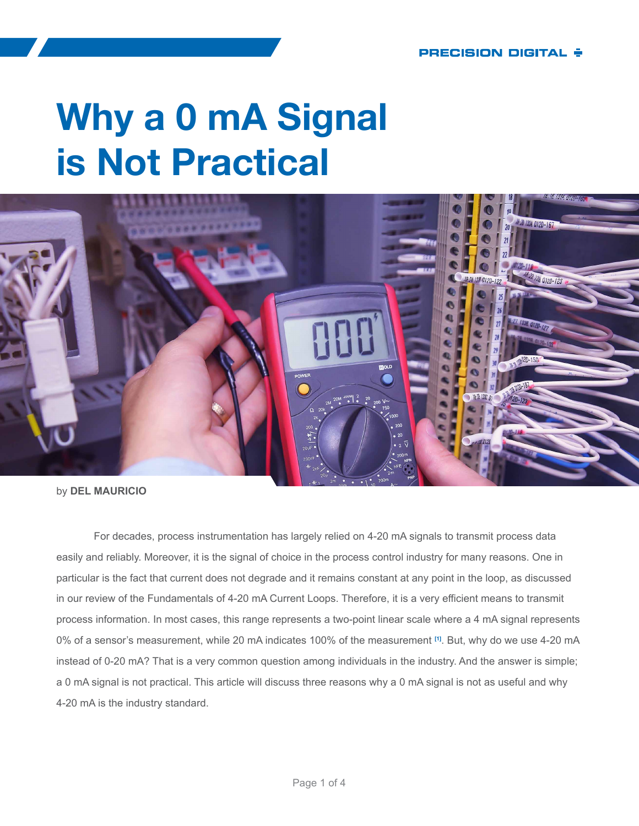# **Why a 0 mA Signal is Not Practical**



by **DEL MAURICIO**

For decades, process instrumentation has largely relied on 4-20 mA signals to transmit process data easily and reliably. Moreover, it is the signal of choice in the process control industry for many reasons. One in particular is the fact that current does not degrade and it remains constant at any point in the loop, as discussed in our review of the Fundamentals of 4-20 mA Current Loops. Therefore, it is a very efficient means to transmit process information. In most cases, this range represents a two-point linear scale where a 4 mA signal represents 0% of a sensor's measurement, while 20 mA indicates 100% of the measurement **[\[1\]](#page-3-0)**. But, why do we use 4-20 mA instead of 0-20 mA? That is a very common question among individuals in the industry. And the answer is simple; a 0 mA signal is not practical. This article will discuss three reasons why a 0 mA signal is not as useful and why 4-20 mA is the industry standard.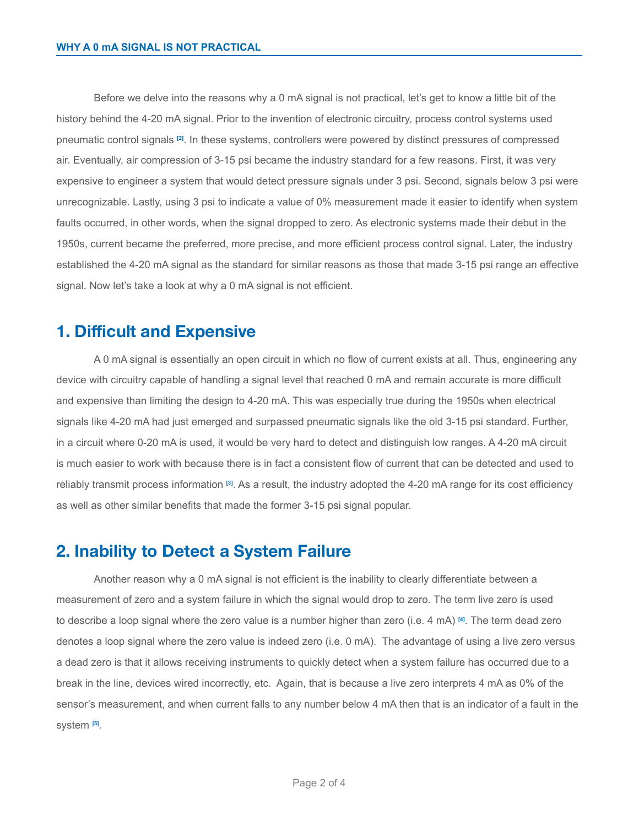Before we delve into the reasons why a 0 mA signal is not practical, let's get to know a little bit of the history behind the 4-20 mA signal. Prior to the invention of electronic circuitry, process control systems used pneumatic control signals **[\[2\]](#page-3-1)**. In these systems, controllers were powered by distinct pressures of compressed air. Eventually, air compression of 3-15 psi became the industry standard for a few reasons. First, it was very expensive to engineer a system that would detect pressure signals under 3 psi. Second, signals below 3 psi were unrecognizable. Lastly, using 3 psi to indicate a value of 0% measurement made it easier to identify when system faults occurred, in other words, when the signal dropped to zero. As electronic systems made their debut in the 1950s, current became the preferred, more precise, and more efficient process control signal. Later, the industry established the 4-20 mA signal as the standard for similar reasons as those that made 3-15 psi range an effective signal. Now let's take a look at why a 0 mA signal is not efficient.

#### **1. Difficult and Expensive**

A 0 mA signal is essentially an open circuit in which no flow of current exists at all. Thus, engineering any device with circuitry capable of handling a signal level that reached 0 mA and remain accurate is more difficult and expensive than limiting the design to 4-20 mA. This was especially true during the 1950s when electrical signals like 4-20 mA had just emerged and surpassed pneumatic signals like the old 3-15 psi standard. Further, in a circuit where 0-20 mA is used, it would be very hard to detect and distinguish low ranges. A 4-20 mA circuit is much easier to work with because there is in fact a consistent flow of current that can be detected and used to reliably transmit process information **[\[3\]](#page-3-2)**. As a result, the industry adopted the 4-20 mA range for its cost efficiency as well as other similar benefits that made the former 3-15 psi signal popular.

#### **2. Inability to Detect a System Failure**

Another reason why a 0 mA signal is not efficient is the inability to clearly differentiate between a measurement of zero and a system failure in which the signal would drop to zero. The term live zero is used to describe a loop signal where the zero value is a number higher than zero (i.e. 4 mA) **[\[4\]](#page-3-3)**. The term dead zero denotes a loop signal where the zero value is indeed zero (i.e. 0 mA). The advantage of using a live zero versus a dead zero is that it allows receiving instruments to quickly detect when a system failure has occurred due to a break in the line, devices wired incorrectly, etc. Again, that is because a live zero interprets 4 mA as 0% of the sensor's measurement, and when current falls to any number below 4 mA then that is an indicator of a fault in the system **[\[5\]](#page-3-4)**.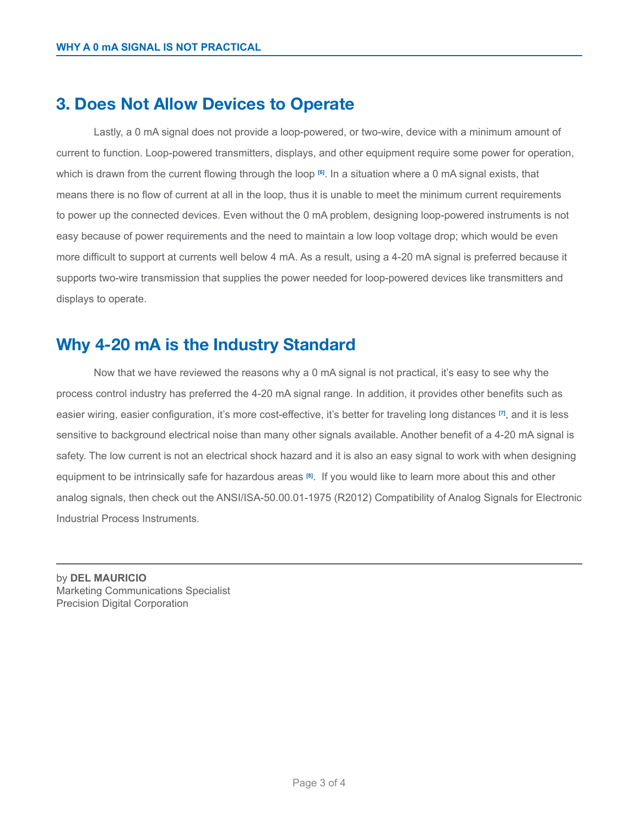## **3. Does Not Allow Devices to Operate**

Lastly, a 0 mA signal does not provide a loop-powered, or two-wire, device with a minimum amount of current to function. Loop-powered transmitters, displays, and other equipment require some power for operation, which is drawn from the current flowing through the loop **[\[6\]](#page-3-5)**. In a situation where a 0 mA signal exists, that means there is no flow of current at all in the loop, thus it is unable to meet the minimum current requirements to power up the connected devices. Even without the 0 mA problem, designing loop-powered instruments is not easy because of power requirements and the need to maintain a low loop voltage drop; which would be even more difficult to support at currents well below 4 mA. As a result, using a 4-20 mA signal is preferred because it supports two-wire transmission that supplies the power needed for loop-powered devices like transmitters and displays to operate.

## **Why 4-20 mA is the Industry Standard**

Now that we have reviewed the reasons why a 0 mA signal is not practical, it's easy to see why the process control industry has preferred the 4-20 mA signal range. In addition, it provides other benefits such as easier wiring, easier configuration, it's more cost-effective, it's better for traveling long distances **[\[7\]](#page-3-6)**, and it is less sensitive to background electrical noise than many other signals available. Another benefit of a 4-20 mA signal is safety. The low current is not an electrical shock hazard and it is also an easy signal to work with when designing equipment to be intrinsically safe for hazardous areas **[\[8\]](#page-3-7)**. If you would like to learn more about this and other analog signals, then check out the ANSI/ISA-50.00.01-1975 (R2012) Compatibility of Analog Signals for Electronic Industrial Process Instruments.

by **DEL MAURICIO** Marketing Communications Specialist Precision Digital Corporation